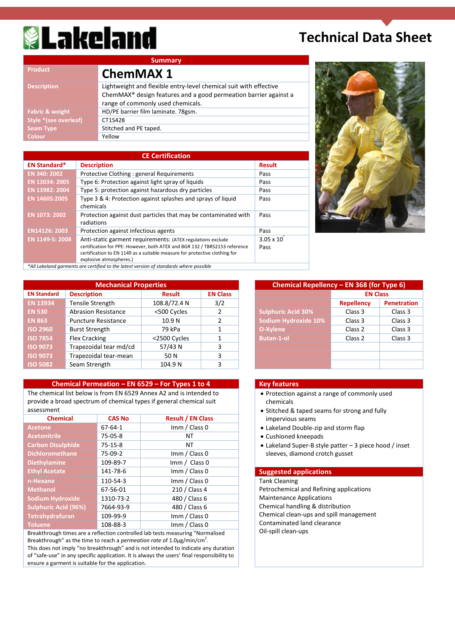# **& Lakeland**

### **Technical Data Sheet**

| <b>Summary</b>                                                                                                                                                                         |
|----------------------------------------------------------------------------------------------------------------------------------------------------------------------------------------|
| <b>ChemMAX 1</b>                                                                                                                                                                       |
| Lightweight and flexible entry-level chemical suit with effective<br>ChemMAX <sup>®</sup> design features and a good permeation barrier against a<br>range of commonly used chemicals. |
| HD/PE barrier film laminate. 78gsm.                                                                                                                                                    |
| CT1S428                                                                                                                                                                                |
| Stitched and PE taped.                                                                                                                                                                 |
| Yellow                                                                                                                                                                                 |
|                                                                                                                                                                                        |

|                     | <b>CE Certification</b>                                                                                                                                                                                                                            |                               |
|---------------------|----------------------------------------------------------------------------------------------------------------------------------------------------------------------------------------------------------------------------------------------------|-------------------------------|
| <b>EN Standard*</b> | <b>Description</b>                                                                                                                                                                                                                                 | <b>Result</b>                 |
| EN 340: 2002        | Protective Clothing : general Requirements                                                                                                                                                                                                         | Pass                          |
| EN 13034: 2005      | Type 6: Protection against light spray of liquids                                                                                                                                                                                                  | Pass                          |
| EN 13982: 2004      | Type 5: protection against hazardous dry particles                                                                                                                                                                                                 | Pass                          |
| EN 14605:2005       | Type 3 & 4: Protection against splashes and sprays of liquid<br>chemicals                                                                                                                                                                          | Pass                          |
| EN 1073: 2002       | Protection against dust particles that may be contaminated with<br>radiations                                                                                                                                                                      | Pass                          |
| EN14126: 2003       | Protection against infectious agents                                                                                                                                                                                                               | Pass                          |
| EN 1149-5: 2008     | Anti-static garment requirements: (ATEX regulations exclude<br>certification for PPE: However, both ATEX and BGR 132 / TBRS2153 reference<br>certification to EN 1149 as a suitable measure for protective clothing for<br>explosive atmospheres.) | $3.05 \times 10^{-7}$<br>Pass |
|                     | *All Lakeland garments are certified to the latest version of standards where possible                                                                                                                                                             |                               |



| <b>Mechanical Properties</b> |                            |               | Chemical Repellency - EN 368 (for Type 6) |                           |                   |  |
|------------------------------|----------------------------|---------------|-------------------------------------------|---------------------------|-------------------|--|
| <b>EN Standard</b>           | <b>Description</b>         | <b>Result</b> | <b>EN Class</b>                           |                           | <b>EN Class</b>   |  |
| <b>EN 13934</b>              | Tensile Strength           | 108.8/72.4 N  | 3/2                                       |                           | <b>Repellency</b> |  |
| <b>EN 530</b>                | <b>Abrasion Resistance</b> | <500 Cycles   |                                           | <b>Sulphuric Acid 30%</b> | Class 3           |  |
| <b>EN 863</b>                | <b>Puncture Resistance</b> | 10.9 N        |                                           | Sodium Hydroxide 10%      | Class 3           |  |
| <b>ISO 2960</b>              | <b>Burst Strength</b>      | 79 kPa        |                                           | O-Xylene                  | Class 2           |  |
| <b>ISO 7854</b>              | Flex Cracking              | <2500 Cycles  |                                           | <b>Butan-1-ol</b>         | Class 2           |  |
| <b>ISO 9073</b>              | Trapezoidal tear md/cd     | 57/43 N       | 3                                         |                           |                   |  |
| <b>ISO 9073</b>              | Trapezoidal tear-mean      | 50 N          | 3                                         |                           |                   |  |
| <b>ISO 5082</b>              | Seam Strength              | 104.9 N       | 3                                         |                           |                   |  |

#### **Chemical Permeation – EN 6529 – For Types 1 to 4 Key features**

The chemical list below is from EN 6529 Annex A2 and is intended to provide a broad spectrum of chemical types if general chemical suit assessment

| <b>Chemical</b>             | <b>CAS No</b> | <b>Result / EN Class</b>       |
|-----------------------------|---------------|--------------------------------|
| <b>Acetone</b>              | $67 - 64 - 1$ | Imm / Class 0                  |
| <b>Acetonitrile</b>         | $75-05-8$     | NΤ                             |
| <b>Carbon Disulphide</b>    | $75-15-8$     | NΤ                             |
| <b>Dichloromethane</b>      | $75-09-2$     | Imm / Class 0                  |
| <b>Diethylamine</b>         | 109-89-7      | $\text{Imm} / \text{Class } 0$ |
| <b>Ethyl Acetate</b>        | 141-78-6      | Imm / Class 0                  |
| n-Hexane                    | 110-54-3      | Imm / Class 0                  |
| <b>Methanol</b>             | 67-56-01      | 210 / Class 4                  |
| <b>Sodium Hydroxide</b>     | 1310-73-2     | 480 / Class 6                  |
| <b>Sulphuric Acid (96%)</b> | 7664-93-9     | 480 / Class 6                  |
| Tetrahydrafuran             | 109-99-9      | Imm / Class 0                  |
| <b>Toluene</b>              | 108-88-3      | Imm / Class 0                  |

Breakthrough times are a reflection controlled lab tests measuring "Normalised Breakthrough" as the time to reach a *permeation rate* of 1.0µg/min/cm<sup>2</sup>. This does not imply "no breakthrough" and is not intended to indicate any duration of "safe-use" in any specific application. It is always the users' final responsibility to ensure a garment is suitable for the application.

| <b>Mechanical Properties</b> |                   |                 | Chemical Repellency - EN 368 (for Type 6) |                   |             |
|------------------------------|-------------------|-----------------|-------------------------------------------|-------------------|-------------|
| on                           | <b>Result</b>     | <b>EN Class</b> |                                           | <b>EN Class</b>   |             |
| rength:                      | 108.8/72.4 N      | 3/2             |                                           | <b>Repellency</b> | Penetration |
| Resistance                   | <500 Cycles       | 2               | <b>Sulphuric Acid 30%</b>                 | Class 3           | Class 3     |
| Resistance                   | 10.9 <sub>N</sub> |                 | Sodium Hydroxide 10%                      | Class 3           | Class 3     |
| ength                        | 79 kPa            |                 | O-Xylene                                  | Class 2           | Class 3     |
| king                         | <2500 Cycles      |                 | <b>Butan-1-ol</b>                         | Class 2           | Class 3     |
| dal tear md/cd               | 57/43 N           | 3               |                                           |                   |             |
| dal tear-mean                | 50 N              | 3               |                                           |                   |             |
| ength                        | 104.9 N           |                 |                                           |                   |             |

- Protection against a range of commonly used chemicals
- Stitched & taped seams for strong and fully impervious seams
- Lakeland Double-zip and storm flap
- Cushioned kneepads
- Lakeland Super-B style patter 3 piece hood / inset sleeves, diamond crotch gusset

#### **Suggested applications**

**Tank Cleaning** Petrochemical and Refining applications Maintenance Applications Chemical handling & distribution Chemical clean-ups and spill management Contaminated land clearance Oil-spill clean-ups